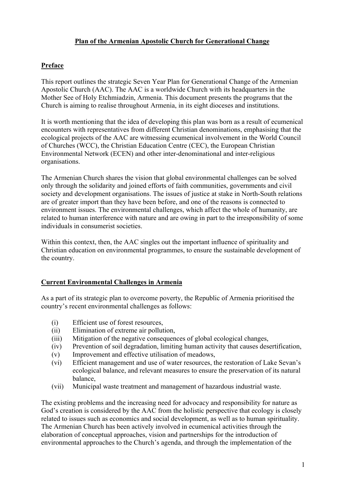### **Plan of the Armenian Apostolic Church for Generational Change**

## **Preface**

This report outlines the strategic Seven Year Plan for Generational Change of the Armenian Apostolic Church (AAC). The AAC is a worldwide Church with its headquarters in the Mother See of Holy Etchmiadzin, Armenia. This document presents the programs that the Church is aiming to realise throughout Armenia, in its eight dioceses and institutions.

It is worth mentioning that the idea of developing this plan was born as a result of ecumenical encounters with representatives from different Christian denominations, emphasising that the ecological projects of the AAC are witnessing ecumenical involvement in the World Council of Churches (WCC), the Christian Education Centre (CEC), the European Christian Environmental Network (ECEN) and other inter-denominational and inter-religious organisations.

The Armenian Church shares the vision that global environmental challenges can be solved only through the solidarity and joined efforts of faith communities, governments and civil society and development organisations. The issues of justice at stake in North-South relations are of greater import than they have been before, and one of the reasons is connected to environment issues. The environmental challenges, which affect the whole of humanity, are related to human interference with nature and are owing in part to the irresponsibility of some individuals in consumerist societies.

Within this context, then, the AAC singles out the important influence of spirituality and Christian education on environmental programmes, to ensure the sustainable development of the country.

#### **Current Environmental Challenges in Armenia**

As a part of its strategic plan to overcome poverty, the Republic of Armenia prioritised the country's recent environmental challenges as follows:

- (i) Efficient use of forest resources,
- (ii) Elimination of extreme air pollution,
- (iii) Mitigation of the negative consequences of global ecological changes,
- (iv) Prevention of soil degradation, limiting human activity that causes desertification,
- (v) Improvement and effective utilisation of meadows,
- (vi) Efficient management and use of water resources, the restoration of Lake Sevan's ecological balance, and relevant measures to ensure the preservation of its natural balance,
- (vii) Municipal waste treatment and management of hazardous industrial waste.

The existing problems and the increasing need for advocacy and responsibility for nature as God's creation is considered by the AAC from the holistic perspective that ecology is closely related to issues such as economics and social development, as well as to human spirituality. The Armenian Church has been actively involved in ecumenical activities through the elaboration of conceptual approaches, vision and partnerships for the introduction of environmental approaches to the Church's agenda, and through the implementation of the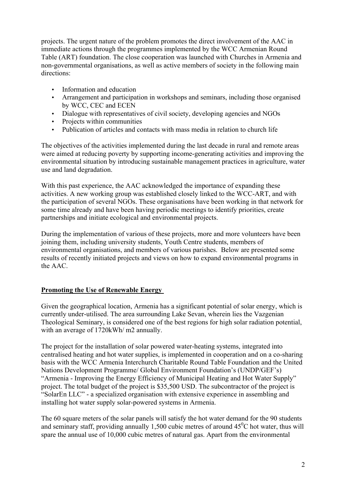projects. The urgent nature of the problem promotes the direct involvement of the AAC in immediate actions through the programmes implemented by the WCC Armenian Round Table (ART) foundation. The close cooperation was launched with Churches in Armenia and non-governmental organisations, as well as active members of society in the following main directions:

- Information and education
- Arrangement and participation in workshops and seminars, including those organised by WCC, CEC and ECEN
- Dialogue with representatives of civil society, developing agencies and NGOs
- Projects within communities
- Publication of articles and contacts with mass media in relation to church life

The objectives of the activities implemented during the last decade in rural and remote areas were aimed at reducing poverty by supporting income-generating activities and improving the environmental situation by introducing sustainable management practices in agriculture, water use and land degradation.

With this past experience, the AAC acknowledged the importance of expanding these activities. A new working group was established closely linked to the WCC-ART, and with the participation of several NGOs. These organisations have been working in that network for some time already and have been having periodic meetings to identify priorities, create partnerships and initiate ecological and environmental projects.

During the implementation of various of these projects, more and more volunteers have been joining them, including university students, Youth Centre students, members of environmental organisations, and members of various parishes. Below are presented some results of recently initiated projects and views on how to expand environmental programs in the AAC.

# **Promoting the Use of Renewable Energy**

Given the geographical location, Armenia has a significant potential of solar energy, which is currently under-utilised. The area surrounding Lake Sevan, wherein lies the Vazgenian Theological Seminary, is considered one of the best regions for high solar radiation potential, with an average of 1720kWh/ m2 annually.

The project for the installation of solar powered water-heating systems, integrated into centralised heating and hot water supplies, is implemented in cooperation and on a co-sharing basis with the WCC Armenia Interchurch Charitable Round Table Foundation and the United Nations Development Programme/ Global Environment Foundation's (UNDP/GEF's) "Armenia - Improving the Energy Efficiency of Municipal Heating and Hot Water Supply" project. The total budget of the project is \$35,500 USD. The subcontractor of the project is "SolarEn LLC" - a specialized organisation with extensive experience in assembling and installing hot water supply solar-powered systems in Armenia.

The 60 square meters of the solar panels will satisfy the hot water demand for the 90 students and seminary staff, providing annually 1,500 cubic metres of around  $45^{\circ}$ C hot water, thus will spare the annual use of 10,000 cubic metres of natural gas. Apart from the environmental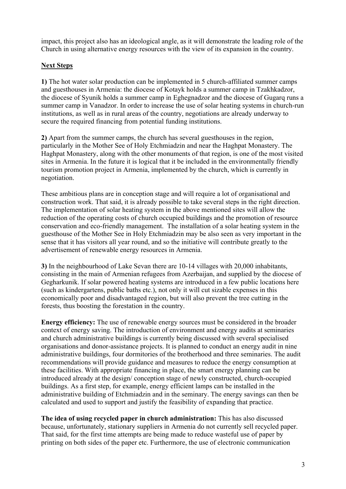impact, this project also has an ideological angle, as it will demonstrate the leading role of the Church in using alternative energy resources with the view of its expansion in the country.

### **Next Steps**

**1)** The hot water solar production can be implemented in 5 church-affiliated summer camps and guesthouses in Armenia: the diocese of Kotayk holds a summer camp in Tzakhkadzor, the diocese of Syunik holds a summer camp in Eghegnadzor and the diocese of Gugarq runs a summer camp in Vanadzor. In order to increase the use of solar heating systems in church-run institutions, as well as in rural areas of the country, negotiations are already underway to secure the required financing from potential funding institutions.

**2)** Apart from the summer camps, the church has several guesthouses in the region, particularly in the Mother See of Holy Etchmiadzin and near the Haghpat Monastery. The Haghpat Monastery, along with the other monuments of that region, is one of the most visited sites in Armenia. In the future it is logical that it be included in the environmentally friendly tourism promotion project in Armenia, implemented by the church, which is currently in negotiation.

These ambitious plans are in conception stage and will require a lot of organisational and construction work. That said, it is already possible to take several steps in the right direction. The implementation of solar heating system in the above mentioned sites will allow the reduction of the operating costs of church occupied buildings and the promotion of resource conservation and eco-friendly management. The installation of a solar heating system in the guesthouse of the Mother See in Holy Etchmiadzin may be also seen as very important in the sense that it has visitors all year round, and so the initiative will contribute greatly to the advertisement of renewable energy resources in Armenia.

**3)** In the neighbourhood of Lake Sevan there are 10-14 villages with 20,000 inhabitants, consisting in the main of Armenian refugees from Azerbaijan, and supplied by the diocese of Gegharkunik. If solar powered heating systems are introduced in a few public locations here (such as kindergartens, public baths etc.), not only it will cut sizable expenses in this economically poor and disadvantaged region, but will also prevent the tree cutting in the forests, thus boosting the forestation in the country.

**Energy efficiency:** The use of renewable energy sources must be considered in the broader context of energy saving. The introduction of environment and energy audits at seminaries and church administrative buildings is currently being discussed with several specialised organisations and donor-assistance projects. It is planned to conduct an energy audit in nine administrative buildings, four dormitories of the brotherhood and three seminaries. The audit recommendations will provide guidance and measures to reduce the energy consumption at these facilities. With appropriate financing in place, the smart energy planning can be introduced already at the design/ conception stage of newly constructed, church-occupied buildings. As a first step, for example, energy efficient lamps can be installed in the administrative building of Etchmiadzin and in the seminary. The energy savings can then be calculated and used to support and justify the feasibility of expanding that practice.

**The idea of using recycled paper in church administration:** This has also discussed because, unfortunately, stationary suppliers in Armenia do not currently sell recycled paper. That said, for the first time attempts are being made to reduce wasteful use of paper by printing on both sides of the paper etc. Furthermore, the use of electronic communication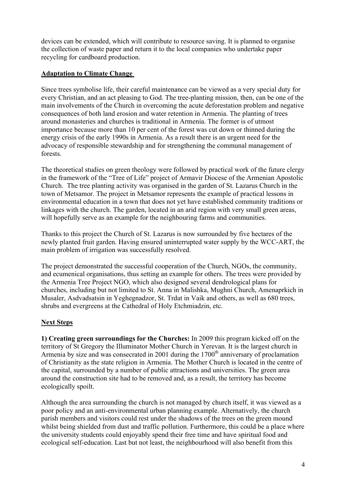devices can be extended, which will contribute to resource saving. It is planned to organise the collection of waste paper and return it to the local companies who undertake paper recycling for cardboard production.

## **Adaptation to Climate Change**

Since trees symbolise life, their careful maintenance can be viewed as a very special duty for every Christian, and an act pleasing to God. The tree-planting mission, then, can be one of the main involvements of the Church in overcoming the acute deforestation problem and negative consequences of both land erosion and water retention in Armenia. The planting of trees around monasteries and churches is traditional in Armenia. The former is of utmost importance because more than 10 per cent of the forest was cut down or thinned during the energy crisis of the early 1990s in Armenia. As a result there is an urgent need for the advocacy of responsible stewardship and for strengthening the communal management of forests.

The theoretical studies on green theology were followed by practical work of the future clergy in the framework of the "Tree of Life" project of Armavir Diocese of the Armenian Apostolic Church. The tree planting activity was organised in the garden of St. Lazarus Church in the town of Metsamor. The project in Metsamor represents the example of practical lessons in environmental education in a town that does not yet have established community traditions or linkages with the church. The garden, located in an arid region with very small green areas, will hopefully serve as an example for the neighbouring farms and communities.

Thanks to this project the Church of St. Lazarus is now surrounded by five hectares of the newly planted fruit garden. Having ensured uninterrupted water supply by the WCC-ART, the main problem of irrigation was successfully resolved.

The project demonstrated the successful cooperation of the Church, NGOs, the community, and ecumenical organisations, thus setting an example for others. The trees were provided by the Armenia Tree Project NGO, which also designed several dendrological plans for churches, including but not limited to St. Anna in Malishka, Mughni Church, Amenaprkich in Musaler, Asdvadsatsin in Yeghegnadzor, St. Trdat in Vaik and others, as well as 680 trees, shrubs and evergreens at the Cathedral of Holy Etchmiadzin, etc.

# **Next Steps**

**1) Creating green surroundings for the Churches:** In 2009 this program kicked off on the territory of St Gregory the Illuminator Mother Church in Yerevan. It is the largest church in Armenia by size and was consecrated in 2001 during the  $1700<sup>th</sup>$  anniversary of proclamation of Christianity as the state religion in Armenia. The Mother Church is located in the centre of the capital, surrounded by a number of public attractions and universities. The green area around the construction site had to be removed and, as a result, the territory has become ecologically spoilt.

Although the area surrounding the church is not managed by church itself, it was viewed as a poor policy and an anti-environmental urban planning example. Alternatively, the church parish members and visitors could rest under the shadows of the trees on the green mound whilst being shielded from dust and traffic pollution. Furthermore, this could be a place where the university students could enjoyably spend their free time and have spiritual food and ecological self-education. Last but not least, the neighbourhood will also benefit from this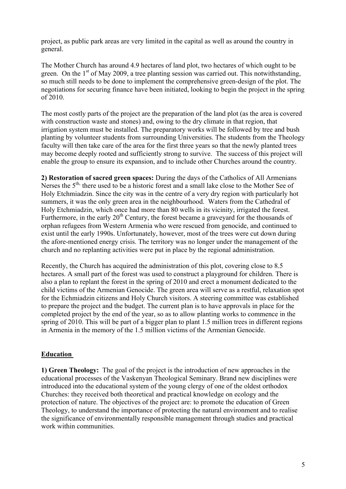project, as public park areas are very limited in the capital as well as around the country in general.

The Mother Church has around 4.9 hectares of land plot, two hectares of which ought to be green. On the  $1<sup>st</sup>$  of May 2009, a tree planting session was carried out. This notwithstanding, so much still needs to be done to implement the comprehensive green-design of the plot. The negotiations for securing finance have been initiated, looking to begin the project in the spring of 2010.

The most costly parts of the project are the preparation of the land plot (as the area is covered with construction waste and stones) and, owing to the dry climate in that region, that irrigation system must be installed. The preparatory works will be followed by tree and bush planting by volunteer students from surrounding Universities. The students from the Theology faculty will then take care of the area for the first three years so that the newly planted trees may become deeply rooted and sufficiently strong to survive. The success of this project will enable the group to ensure its expansion, and to include other Churches around the country.

**2) Restoration of sacred green spaces:** During the days of the Catholics of All Armenians Nerses the  $5<sup>th</sup>$ , there used to be a historic forest and a small lake close to the Mother See of Holy Etchmiadzin. Since the city was in the centre of a very dry region with particularly hot summers, it was the only green area in the neighbourhood. Waters from the Cathedral of Holy Etchmiadzin, which once had more than 80 wells in its vicinity, irrigated the forest. Furthermore, in the early  $20<sup>th</sup>$  Century, the forest became a graveyard for the thousands of orphan refugees from Western Armenia who were rescued from genocide, and continued to exist until the early 1990s. Unfortunately, however, most of the trees were cut down during the afore-mentioned energy crisis. The territory was no longer under the management of the church and no replanting activities were put in place by the regional administration.

Recently, the Church has acquired the administration of this plot, covering close to 8.5 hectares. A small part of the forest was used to construct a playground for children. There is also a plan to replant the forest in the spring of 2010 and erect a monument dedicated to the child victims of the Armenian Genocide. The green area will serve as a restful, relaxation spot for the Echmiadzin citizens and Holy Church visitors. A steering committee was established to prepare the project and the budget. The current plan is to have approvals in place for the completed project by the end of the year, so as to allow planting works to commence in the spring of 2010. This will be part of a bigger plan to plant 1.5 million trees in different regions in Armenia in the memory of the 1.5 million victims of the Armenian Genocide.

#### **Education**

**1) Green Theology:** The goal of the project is the introduction of new approaches in the educational processes of the Vaskenyan Theological Seminary. Brand new disciplines were introduced into the educational system of the young clergy of one of the oldest orthodox Churches: they received both theoretical and practical knowledge on ecology and the protection of nature. The objectives of the project are: to promote the education of Green Theology, to understand the importance of protecting the natural environment and to realise the significance of environmentally responsible management through studies and practical work within communities.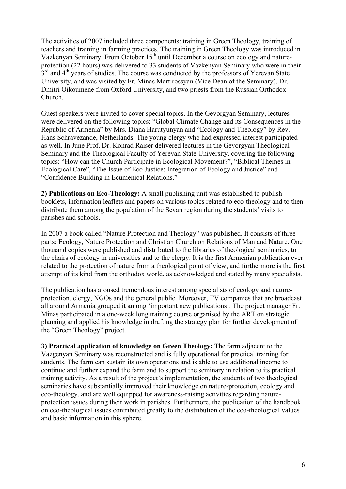The activities of 2007 included three components: training in Green Theology, training of teachers and training in farming practices. The training in Green Theology was introduced in Vazkenyan Seminary. From October  $15<sup>th</sup>$  until December a course on ecology and natureprotection (22 hours) was delivered to 33 students of Vazkenyan Seminary who were in their  $3<sup>rd</sup>$  and  $4<sup>th</sup>$  years of studies. The course was conducted by the professors of Yerevan State University, and was visited by Fr. Minas Martirossyan (Vice Dean of the Seminary), Dr. Dmitri Oikoumene from Oxford University, and two priests from the Russian Orthodox Church.

Guest speakers were invited to cover special topics. In the Gevorgyan Seminary, lectures were delivered on the following topics: "Global Climate Change and its Consequences in the Republic of Armenia" by Mrs. Diana Harutyunyan and "Ecology and Theology" by Rev. Hans Schravezande, Netherlands. The young clergy who had expressed interest participated as well. In June Prof. Dr. Konrad Raiser delivered lectures in the Gevorgyan Theological Seminary and the Theological Faculty of Yerevan State University, covering the following topics: "How can the Church Participate in Ecological Movement?", "Biblical Themes in Ecological Care", "The Issue of Eco Justice: Integration of Ecology and Justice" and "Confidence Building in Ecumenical Relations."

**2) Publications on Eco-Theology:** A small publishing unit was established to publish booklets, information leaflets and papers on various topics related to eco-theology and to then distribute them among the population of the Sevan region during the students' visits to parishes and schools.

In 2007 a book called "Nature Protection and Theology" was published. It consists of three parts: Ecology, Nature Protection and Christian Church on Relations of Man and Nature. One thousand copies were published and distributed to the libraries of theological seminaries, to the chairs of ecology in universities and to the clergy. It is the first Armenian publication ever related to the protection of nature from a theological point of view, and furthermore is the first attempt of its kind from the orthodox world, as acknowledged and stated by many specialists.

The publication has aroused tremendous interest among specialists of ecology and natureprotection, clergy, NGOs and the general public. Moreover, TV companies that are broadcast all around Armenia grouped it among 'important new publications'. The project manager Fr. Minas participated in a one-week long training course organised by the ART on strategic planning and applied his knowledge in drafting the strategy plan for further development of the "Green Theology" project.

**3) Practical application of knowledge on Green Theology:** The farm adjacent to the Vazgenyan Seminary was reconstructed and is fully operational for practical training for students. The farm can sustain its own operations and is able to use additional income to continue and further expand the farm and to support the seminary in relation to its practical training activity. As a result of the project's implementation, the students of two theological seminaries have substantially improved their knowledge on nature-protection, ecology and eco-theology, and are well equipped for awareness-raising activities regarding natureprotection issues during their work in parishes. Furthermore, the publication of the handbook on eco-theological issues contributed greatly to the distribution of the eco-theological values and basic information in this sphere.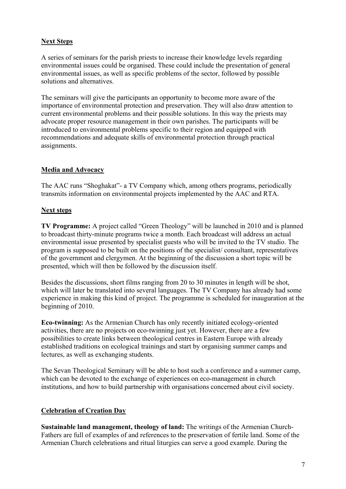## **Next Steps**

A series of seminars for the parish priests to increase their knowledge levels regarding environmental issues could be organised. These could include the presentation of general environmental issues, as well as specific problems of the sector, followed by possible solutions and alternatives.

The seminars will give the participants an opportunity to become more aware of the importance of environmental protection and preservation. They will also draw attention to current environmental problems and their possible solutions. In this way the priests may advocate proper resource management in their own parishes. The participants will be introduced to environmental problems specific to their region and equipped with recommendations and adequate skills of environmental protection through practical assignments.

## **Media and Advocacy**

The AAC runs "Shoghakat"- a TV Company which, among others programs, periodically transmits information on environmental projects implemented by the AAC and RTA.

## **Next steps**

**TV Programme:** A project called "Green Theology" will be launched in 2010 and is planned to broadcast thirty-minute programs twice a month. Each broadcast will address an actual environmental issue presented by specialist guests who will be invited to the TV studio. The program is supposed to be built on the positions of the specialist/ consultant, representatives of the government and clergymen. At the beginning of the discussion a short topic will be presented, which will then be followed by the discussion itself.

Besides the discussions, short films ranging from 20 to 30 minutes in length will be shot, which will later be translated into several languages. The TV Company has already had some experience in making this kind of project. The programme is scheduled for inauguration at the beginning of 2010.

**Eco-twinning:** As the Armenian Church has only recently initiated ecology-oriented activities, there are no projects on eco-twinning just yet. However, there are a few possibilities to create links between theological centres in Eastern Europe with already established traditions on ecological trainings and start by organising summer camps and lectures, as well as exchanging students.

The Sevan Theological Seminary will be able to host such a conference and a summer camp, which can be devoted to the exchange of experiences on eco-management in church institutions, and how to build partnership with organisations concerned about civil society.

# **Celebration of Creation Day**

**Sustainable land management, theology of land:** The writings of the Armenian Church-Fathers are full of examples of and references to the preservation of fertile land. Some of the Armenian Church celebrations and ritual liturgies can serve a good example. During the